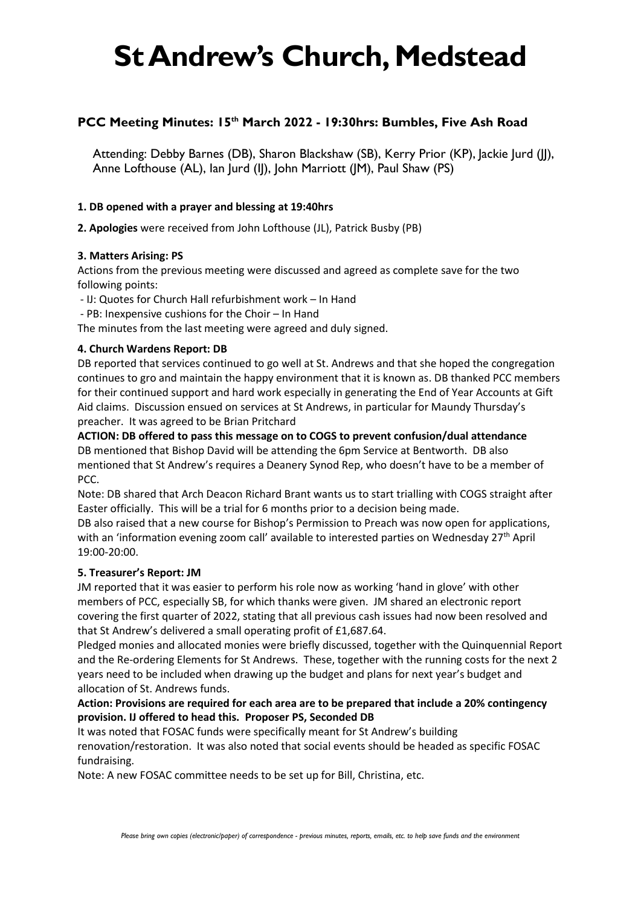# **St Andrew's Church, Medstead**

# **PCC Meeting Minutes: 15th March 2022 - 19:30hrs: Bumbles, Five Ash Road**

Attending: Debby Barnes (DB), Sharon Blackshaw (SB), Kerry Prior (KP), Jackie Jurd (JJ), Anne Lofthouse (AL), Ian Jurd (IJ), John Marriott (JM), Paul Shaw (PS)

# **1. DB opened with a prayer and blessing at 19:40hrs**

**2. Apologies** were received from John Lofthouse (JL), Patrick Busby (PB)

# **3. Matters Arising: PS**

Actions from the previous meeting were discussed and agreed as complete save for the two following points:

- IJ: Quotes for Church Hall refurbishment work – In Hand

- PB: Inexpensive cushions for the Choir – In Hand

The minutes from the last meeting were agreed and duly signed.

# **4. Church Wardens Report: DB**

DB reported that services continued to go well at St. Andrews and that she hoped the congregation continues to gro and maintain the happy environment that it is known as. DB thanked PCC members for their continued support and hard work especially in generating the End of Year Accounts at Gift Aid claims. Discussion ensued on services at St Andrews, in particular for Maundy Thursday's preacher. It was agreed to be Brian Pritchard

**ACTION: DB offered to pass this message on to COGS to prevent confusion/dual attendance** DB mentioned that Bishop David will be attending the 6pm Service at Bentworth. DB also mentioned that St Andrew's requires a Deanery Synod Rep, who doesn't have to be a member of PCC.

Note: DB shared that Arch Deacon Richard Brant wants us to start trialling with COGS straight after Easter officially. This will be a trial for 6 months prior to a decision being made.

DB also raised that a new course for Bishop's Permission to Preach was now open for applications, with an 'information evening zoom call' available to interested parties on Wednesday 27<sup>th</sup> April 19:00-20:00.

# **5. Treasurer's Report: JM**

JM reported that it was easier to perform his role now as working 'hand in glove' with other members of PCC, especially SB, for which thanks were given. JM shared an electronic report covering the first quarter of 2022, stating that all previous cash issues had now been resolved and that St Andrew's delivered a small operating profit of £1,687.64.

Pledged monies and allocated monies were briefly discussed, together with the Quinquennial Report and the Re-ordering Elements for St Andrews. These, together with the running costs for the next 2 years need to be included when drawing up the budget and plans for next year's budget and allocation of St. Andrews funds.

# **Action: Provisions are required for each area are to be prepared that include a 20% contingency provision. IJ offered to head this. Proposer PS, Seconded DB**

It was noted that FOSAC funds were specifically meant for St Andrew's building renovation/restoration. It was also noted that social events should be headed as specific FOSAC fundraising.

Note: A new FOSAC committee needs to be set up for Bill, Christina, etc.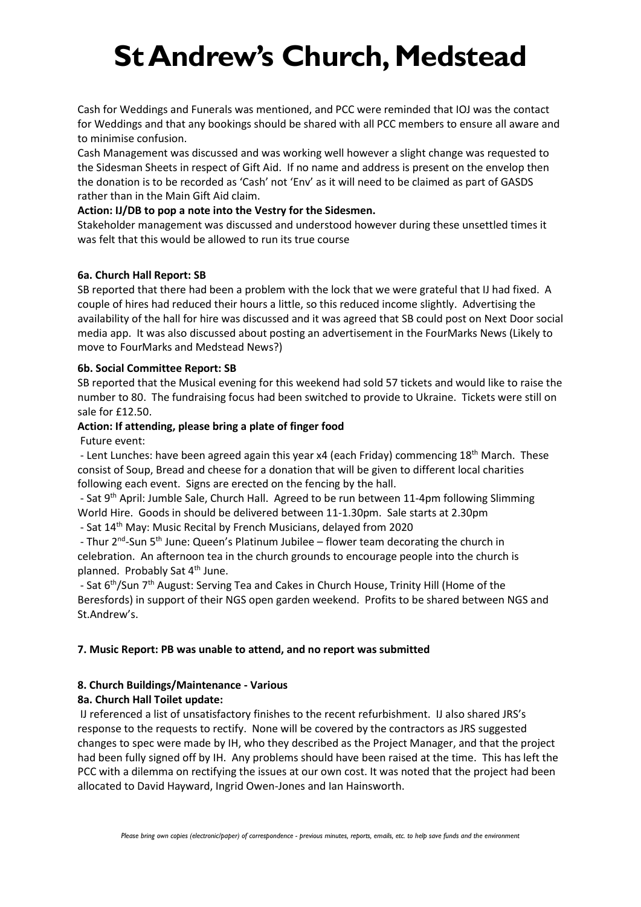# **St Andrew's Church, Medstead**

Cash for Weddings and Funerals was mentioned, and PCC were reminded that IOJ was the contact for Weddings and that any bookings should be shared with all PCC members to ensure all aware and to minimise confusion.

Cash Management was discussed and was working well however a slight change was requested to the Sidesman Sheets in respect of Gift Aid. If no name and address is present on the envelop then the donation is to be recorded as 'Cash' not 'Env' as it will need to be claimed as part of GASDS rather than in the Main Gift Aid claim.

#### **Action: IJ/DB to pop a note into the Vestry for the Sidesmen.**

Stakeholder management was discussed and understood however during these unsettled times it was felt that this would be allowed to run its true course

#### **6a. Church Hall Report: SB**

SB reported that there had been a problem with the lock that we were grateful that IJ had fixed. A couple of hires had reduced their hours a little, so this reduced income slightly. Advertising the availability of the hall for hire was discussed and it was agreed that SB could post on Next Door social media app. It was also discussed about posting an advertisement in the FourMarks News (Likely to move to FourMarks and Medstead News?)

#### **6b. Social Committee Report: SB**

SB reported that the Musical evening for this weekend had sold 57 tickets and would like to raise the number to 80. The fundraising focus had been switched to provide to Ukraine. Tickets were still on sale for £12.50.

#### **Action: If attending, please bring a plate of finger food**

Future event:

- Lent Lunches: have been agreed again this year x4 (each Friday) commencing 18<sup>th</sup> March. These consist of Soup, Bread and cheese for a donation that will be given to different local charities following each event. Signs are erected on the fencing by the hall.

- Sat 9<sup>th</sup> April: Jumble Sale, Church Hall. Agreed to be run between 11-4pm following Slimming World Hire. Goods in should be delivered between 11-1.30pm. Sale starts at 2.30pm

- Sat 14<sup>th</sup> May: Music Recital by French Musicians, delayed from 2020

- Thur 2<sup>nd</sup>-Sun 5<sup>th</sup> June: Queen's Platinum Jubilee – flower team decorating the church in celebration. An afternoon tea in the church grounds to encourage people into the church is planned. Probably Sat 4<sup>th</sup> June.

- Sat 6<sup>th</sup>/Sun 7<sup>th</sup> August: Serving Tea and Cakes in Church House, Trinity Hill (Home of the Beresfords) in support of their NGS open garden weekend. Profits to be shared between NGS and St.Andrew's.

# **7. Music Report: PB was unable to attend, and no report was submitted**

# **8. Church Buildings/Maintenance - Various**

# **8a. Church Hall Toilet update:**

IJ referenced a list of unsatisfactory finishes to the recent refurbishment. IJ also shared JRS's response to the requests to rectify. None will be covered by the contractors as JRS suggested changes to spec were made by IH, who they described as the Project Manager, and that the project had been fully signed off by IH. Any problems should have been raised at the time. This has left the PCC with a dilemma on rectifying the issues at our own cost. It was noted that the project had been allocated to David Hayward, Ingrid Owen-Jones and Ian Hainsworth.